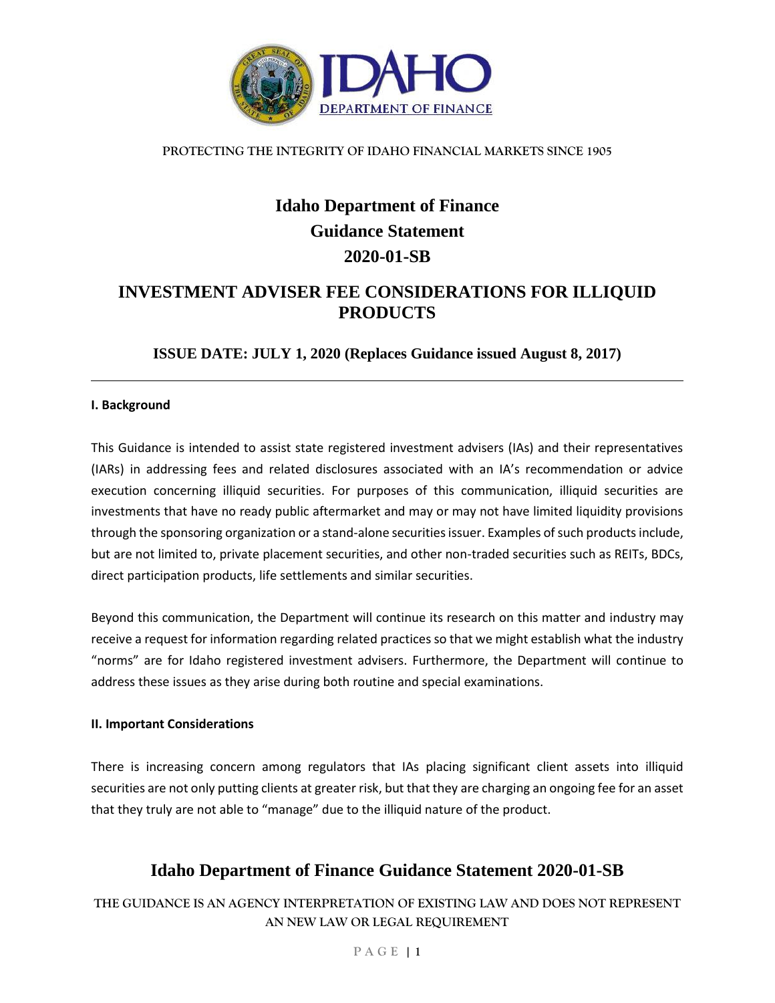

# **Idaho Department of Finance Guidance Statement 2020-01-SB**

### **INVESTMENT ADVISER FEE CONSIDERATIONS FOR ILLIQUID PRODUCTS**

**ISSUE DATE: JULY 1, 2020 (Replaces Guidance issued August 8, 2017)**

### **I. Background**

This Guidance is intended to assist state registered investment advisers (IAs) and their representatives (IARs) in addressing fees and related disclosures associated with an IA's recommendation or advice execution concerning illiquid securities. For purposes of this communication, illiquid securities are investments that have no ready public aftermarket and may or may not have limited liquidity provisions through the sponsoring organization or a stand-alone securities issuer. Examples of such products include, but are not limited to, private placement securities, and other non-traded securities such as REITs, BDCs, direct participation products, life settlements and similar securities.

Beyond this communication, the Department will continue its research on this matter and industry may receive a request for information regarding related practices so that we might establish what the industry "norms" are for Idaho registered investment advisers. Furthermore, the Department will continue to address these issues as they arise during both routine and special examinations.

### **II. Important Considerations**

There is increasing concern among regulators that IAs placing significant client assets into illiquid securities are not only putting clients at greater risk, but that they are charging an ongoing fee for an asset that they truly are not able to "manage" due to the illiquid nature of the product.

# **Idaho Department of Finance Guidance Statement 2020-01-SB**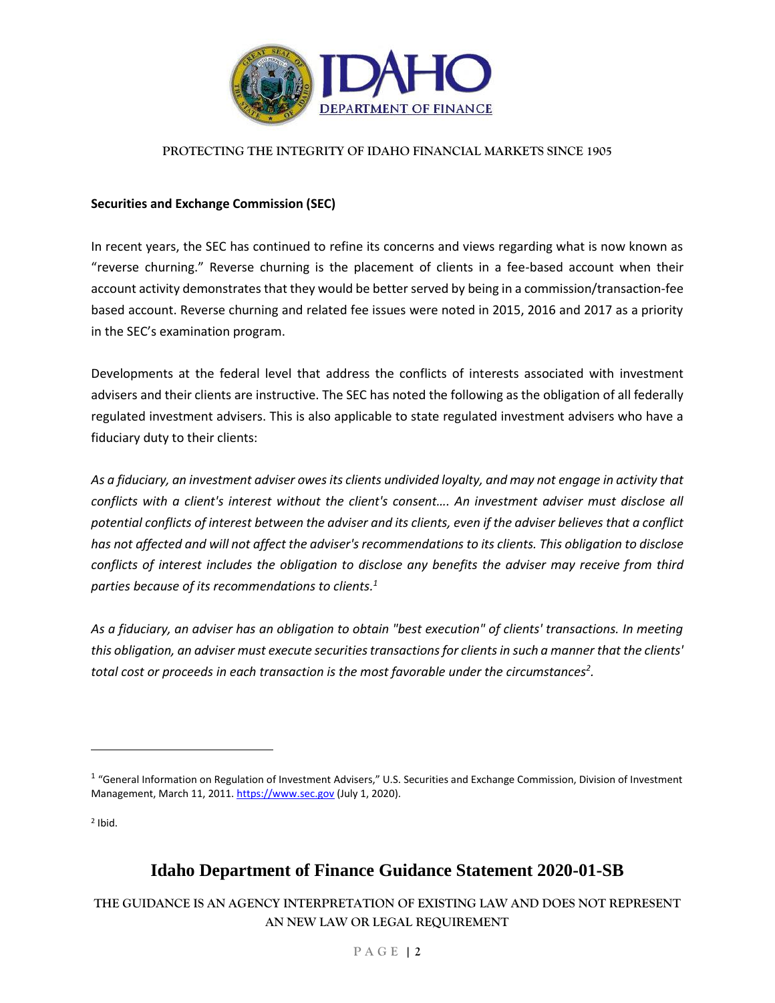

### **Securities and Exchange Commission (SEC)**

In recent years, the SEC has continued to refine its concerns and views regarding what is now known as "reverse churning." Reverse churning is the placement of clients in a fee-based account when their account activity demonstrates that they would be better served by being in a commission/transaction-fee based account. Reverse churning and related fee issues were noted in 2015, 2016 and 2017 as a priority in the SEC's examination program.

Developments at the federal level that address the conflicts of interests associated with investment advisers and their clients are instructive. The SEC has noted the following as the obligation of all federally regulated investment advisers. This is also applicable to state regulated investment advisers who have a fiduciary duty to their clients:

*As a fiduciary, an investment adviser owes its clients undivided loyalty, and may not engage in activity that conflicts with a client's interest without the client's consent…. An investment adviser must disclose all potential conflicts of interest between the adviser and its clients, even if the adviser believes that a conflict has not affected and will not affect the adviser's recommendations to its clients. This obligation to disclose conflicts of interest includes the obligation to disclose any benefits the adviser may receive from third parties because of its recommendations to clients. 1*

*As a fiduciary, an adviser has an obligation to obtain "best execution" of clients' transactions. In meeting this obligation, an adviser must execute securities transactions for clients in such a manner that the clients' total cost or proceeds in each transaction is the most favorable under the circumstances<sup>2</sup> .* 

2 Ibid.

 $\overline{a}$ 

# **Idaho Department of Finance Guidance Statement 2020-01-SB**

<sup>&</sup>lt;sup>1</sup> "General Information on Regulation of Investment Advisers," U.S. Securities and Exchange Commission, Division of Investment Management, March 11, 2011[. https://www.sec.gov](https://www.sec.gov/) (July 1, 2020).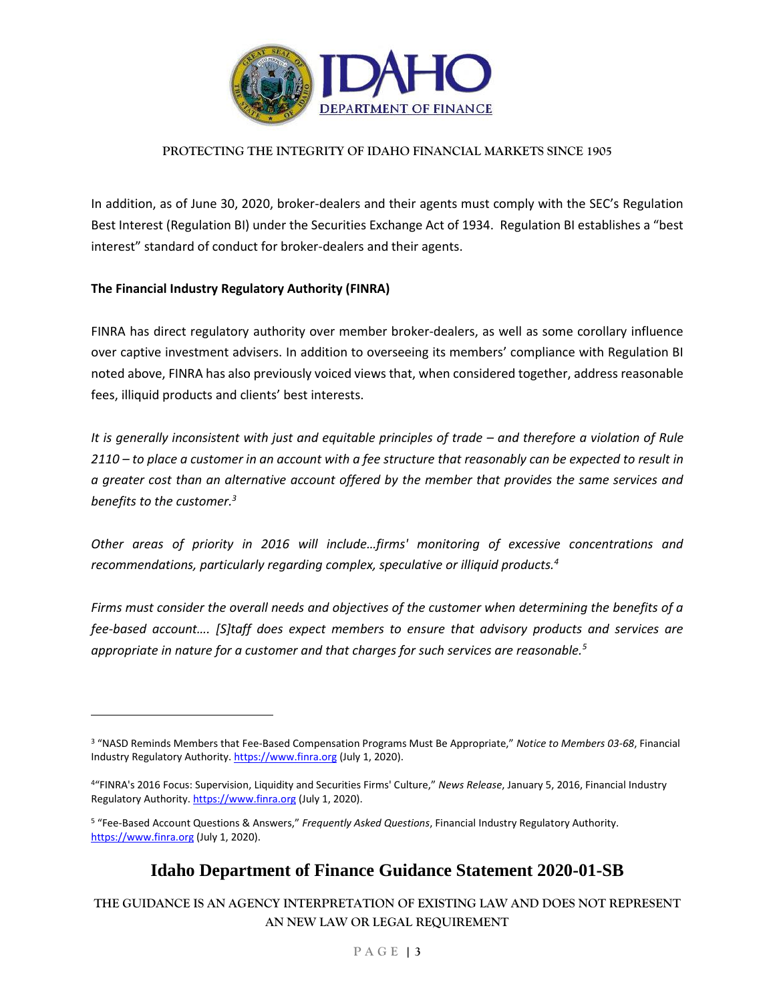

In addition, as of June 30, 2020, broker-dealers and their agents must comply with the SEC's Regulation Best Interest (Regulation BI) under the Securities Exchange Act of 1934. Regulation BI establishes a "best interest" standard of conduct for broker-dealers and their agents.

### **The Financial Industry Regulatory Authority (FINRA)**

 $\overline{a}$ 

FINRA has direct regulatory authority over member broker-dealers, as well as some corollary influence over captive investment advisers. In addition to overseeing its members' compliance with Regulation BI noted above, FINRA has also previously voiced views that, when considered together, address reasonable fees, illiquid products and clients' best interests.

*It is generally inconsistent with just and equitable principles of trade – and therefore a violation of Rule 2110 – to place a customer in an account with a fee structure that reasonably can be expected to result in a greater cost than an alternative account offered by the member that provides the same services and benefits to the customer.<sup>3</sup>*

*Other areas of priority in 2016 will include…firms' monitoring of excessive concentrations and recommendations, particularly regarding complex, speculative or illiquid products.<sup>4</sup>*

*Firms must consider the overall needs and objectives of the customer when determining the benefits of a fee-based account…. [S]taff does expect members to ensure that advisory products and services are appropriate in nature for a customer and that charges for such services are reasonable.<sup>5</sup>*

### **Idaho Department of Finance Guidance Statement 2020-01-SB**

<sup>3</sup> "NASD Reminds Members that Fee-Based Compensation Programs Must Be Appropriate," *Notice to Members 03-68*, Financial Industry Regulatory Authority. [https://www.finra.org](https://www.finra.org/) (July 1, 2020).

<sup>4</sup>"FINRA's 2016 Focus: Supervision, Liquidity and Securities Firms' Culture," *News Release*, January 5, 2016, Financial Industry Regulatory Authority[. https://www.finra.org](https://www.finra.org/) (July 1, 2020).

<sup>5</sup> "Fee-Based Account Questions & Answers," *Frequently Asked Questions*, Financial Industry Regulatory Authority. [https://www.finra.org](https://www.finra.org/) (July 1, 2020).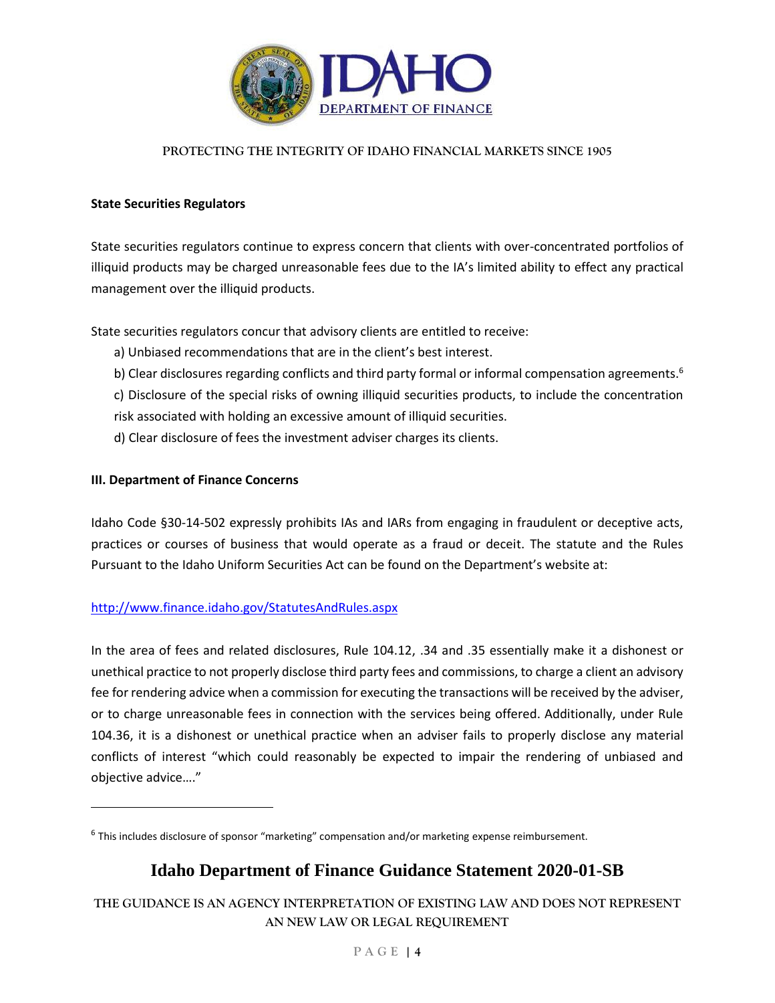

#### **State Securities Regulators**

State securities regulators continue to express concern that clients with over-concentrated portfolios of illiquid products may be charged unreasonable fees due to the IA's limited ability to effect any practical management over the illiquid products.

State securities regulators concur that advisory clients are entitled to receive:

- a) Unbiased recommendations that are in the client's best interest.
- b) Clear disclosures regarding conflicts and third party formal or informal compensation agreements.<sup>6</sup>
- c) Disclosure of the special risks of owning illiquid securities products, to include the concentration
- risk associated with holding an excessive amount of illiquid securities.
- d) Clear disclosure of fees the investment adviser charges its clients.

### **III. Department of Finance Concerns**

 $\overline{a}$ 

Idaho Code §30-14-502 expressly prohibits IAs and IARs from engaging in fraudulent or deceptive acts, practices or courses of business that would operate as a fraud or deceit. The statute and the Rules Pursuant to the Idaho Uniform Securities Act can be found on the Department's website at:

### <http://www.finance.idaho.gov/StatutesAndRules.aspx>

In the area of fees and related disclosures, Rule 104.12, .34 and .35 essentially make it a dishonest or unethical practice to not properly disclose third party fees and commissions, to charge a client an advisory fee for rendering advice when a commission for executing the transactions will be received by the adviser, or to charge unreasonable fees in connection with the services being offered. Additionally, under Rule 104.36, it is a dishonest or unethical practice when an adviser fails to properly disclose any material conflicts of interest "which could reasonably be expected to impair the rendering of unbiased and objective advice…."

# **Idaho Department of Finance Guidance Statement 2020-01-SB**

<sup>&</sup>lt;sup>6</sup> This includes disclosure of sponsor "marketing" compensation and/or marketing expense reimbursement.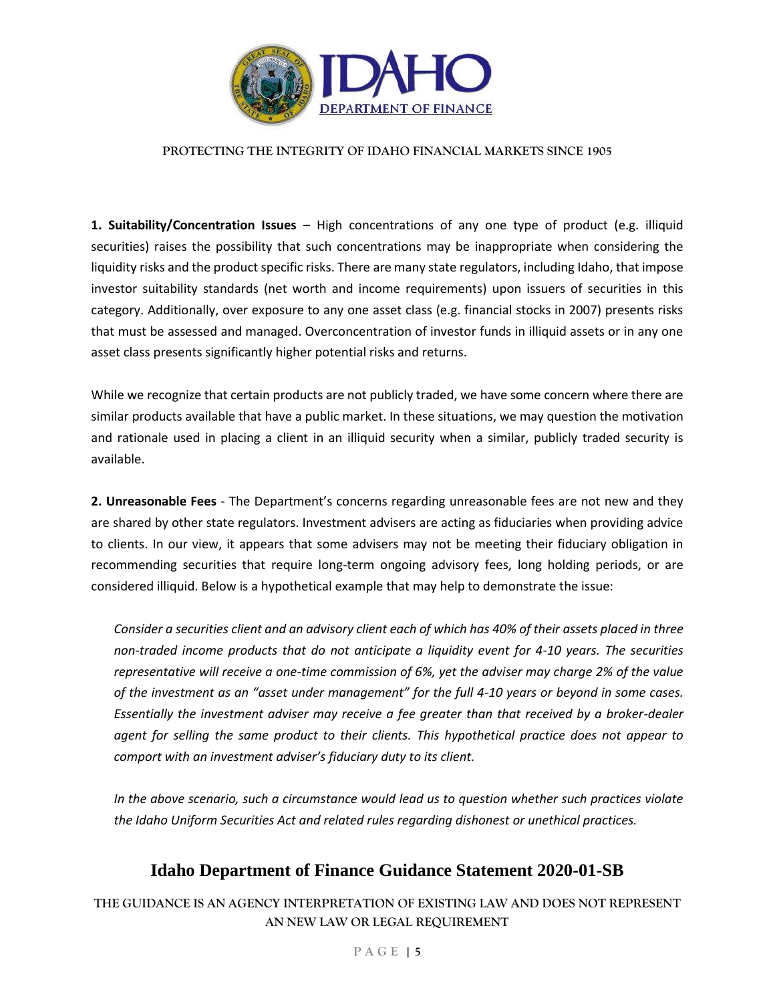

**1. Suitability/Concentration Issues** – High concentrations of any one type of product (e.g. illiquid securities) raises the possibility that such concentrations may be inappropriate when considering the liquidity risks and the product specific risks. There are many state regulators, including Idaho, that impose investor suitability standards (net worth and income requirements) upon issuers of securities in this category. Additionally, over exposure to any one asset class (e.g. financial stocks in 2007) presents risks that must be assessed and managed. Overconcentration of investor funds in illiquid assets or in any one asset class presents significantly higher potential risks and returns.

While we recognize that certain products are not publicly traded, we have some concern where there are similar products available that have a public market. In these situations, we may question the motivation and rationale used in placing a client in an illiquid security when a similar, publicly traded security is available.

**2. Unreasonable Fees** - The Department's concerns regarding unreasonable fees are not new and they are shared by other state regulators. Investment advisers are acting as fiduciaries when providing advice to clients. In our view, it appears that some advisers may not be meeting their fiduciary obligation in recommending securities that require long-term ongoing advisory fees, long holding periods, or are considered illiquid. Below is a hypothetical example that may help to demonstrate the issue:

*Consider a securities client and an advisory client each of which has 40% of their assets placed in three non-traded income products that do not anticipate a liquidity event for 4-10 years. The securities representative will receive a one-time commission of 6%, yet the adviser may charge 2% of the value of the investment as an "asset under management" for the full 4-10 years or beyond in some cases. Essentially the investment adviser may receive a fee greater than that received by a broker-dealer agent for selling the same product to their clients. This hypothetical practice does not appear to comport with an investment adviser's fiduciary duty to its client.* 

*In the above scenario, such a circumstance would lead us to question whether such practices violate the Idaho Uniform Securities Act and related rules regarding dishonest or unethical practices.* 

### **Idaho Department of Finance Guidance Statement 2020-01-SB**